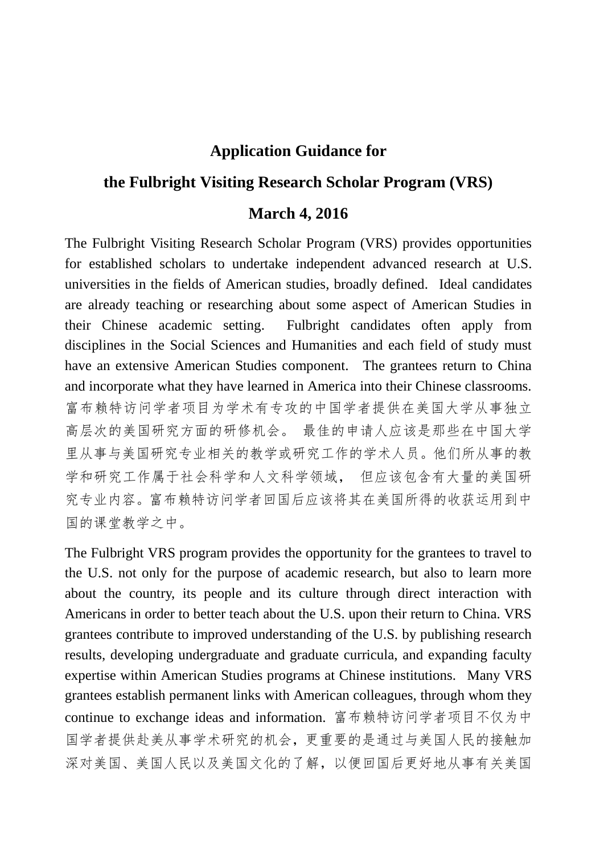## **Application Guidance for**

## **the Fulbright Visiting Research Scholar Program (VRS)**

## **March 4, 2016**

The Fulbright Visiting Research Scholar Program (VRS) provides opportunities for established scholars to undertake independent advanced research at U.S. universities in the fields of American studies, broadly defined. Ideal candidates are already teaching or researching about some aspect of American Studies in their Chinese academic setting. Fulbright candidates often apply from disciplines in the Social Sciences and Humanities and each field of study must have an extensive American Studies component. The grantees return to China and incorporate what they have learned in America into their Chinese classrooms. 富布赖特访问学者项目为学术有专攻的中国学者提供在美国大学从事独立 高层次的美国研究方面的研修机会。 最佳的申请人应该是那些在中国大学 里从事与美国研究专业相关的教学或研究工作的学术人员。他们所从事的教 学和研究工作属于社会科学和人文科学领域, 但应该包含有大量的美国研 究专业内容。富布赖特访问学者回国后应该将其在美国所得的收获运用到中 国的课堂教学之中。

The Fulbright VRS program provides the opportunity for the grantees to travel to the U.S. not only for the purpose of academic research, but also to learn more about the country, its people and its culture through direct interaction with Americans in order to better teach about the U.S. upon their return to China. VRS grantees contribute to improved understanding of the U.S. by publishing research results, developing undergraduate and graduate curricula, and expanding faculty expertise within American Studies programs at Chinese institutions. Many VRS grantees establish permanent links with American colleagues, through whom they continue to exchange ideas and information. 富布赖特访问学者项目不仅为中 国学者提供赴美从事学术研究的机会,更重要的是通过与美国人民的接触加 深对美国、美国人民以及美国文化的了解,以便回国后更好地从事有关美国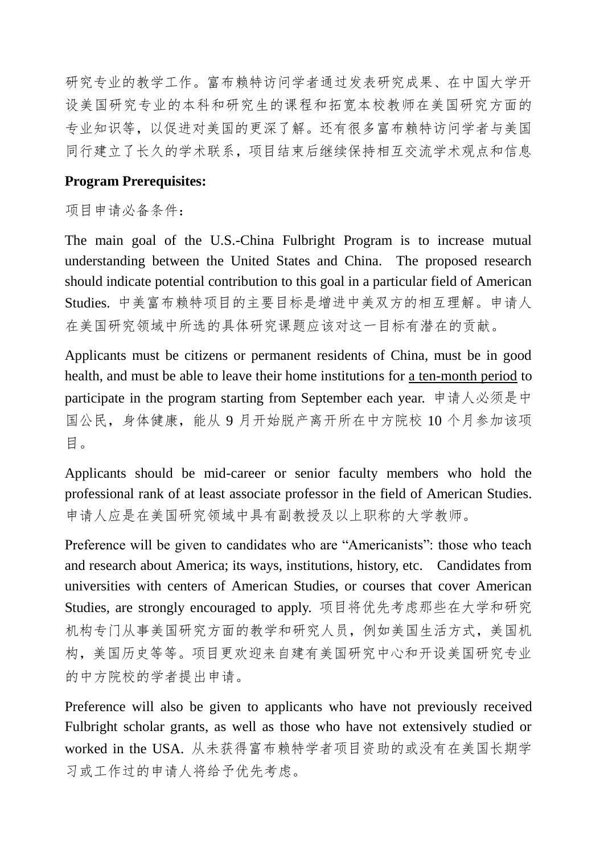研究专业的教学工作。富布赖特访问学者通过发表研究成果、在中国大学开 设美国研究专业的本科和研究生的课程和拓宽本校教师在美国研究方面的 专业知识等,以促进对美国的更深了解。还有很多富布赖特访问学者与美国 同行建立了长久的学术联系,项目结束后继续保持相互交流学术观点和信息

## **Program Prerequisites:**

项目申请必备条件:

The main goal of the U.S.-China Fulbright Program is to increase mutual understanding between the United States and China. The proposed research should indicate potential contribution to this goal in a particular field of American Studies. 中美富布赖特项目的主要目标是增进中美双方的相互理解。申请人 在美国研究领域中所选的具体研究课题应该对这一目标有潜在的贡献。

Applicants must be citizens or permanent residents of China, must be in good health, and must be able to leave their home institutions for a ten-month period to participate in the program starting from September each year. 申请人必须是中 国公民,身体健康,能从 9 月开始脱产离开所在中方院校 10 个月参加该项 目。

Applicants should be mid-career or senior faculty members who hold the professional rank of at least associate professor in the field of American Studies. 申请人应是在美国研究领域中具有副教授及以上职称的大学教师。

Preference will be given to candidates who are "Americanists": those who teach and research about America; its ways, institutions, history, etc. Candidates from universities with centers of American Studies, or courses that cover American Studies, are strongly encouraged to apply. 项目将优先考虑那些在大学和研究 机构专门从事美国研究方面的教学和研究人员,例如美国生活方式,美国机 构,美国历史等等。项目更欢迎来自建有美国研究中心和开设美国研究专业 的中方院校的学者提出申请。

Preference will also be given to applicants who have not previously received Fulbright scholar grants, as well as those who have not extensively studied or worked in the USA. 从未获得富布赖特学者项目资助的或没有在美国长期学 习或工作过的申请人将给予优先考虑。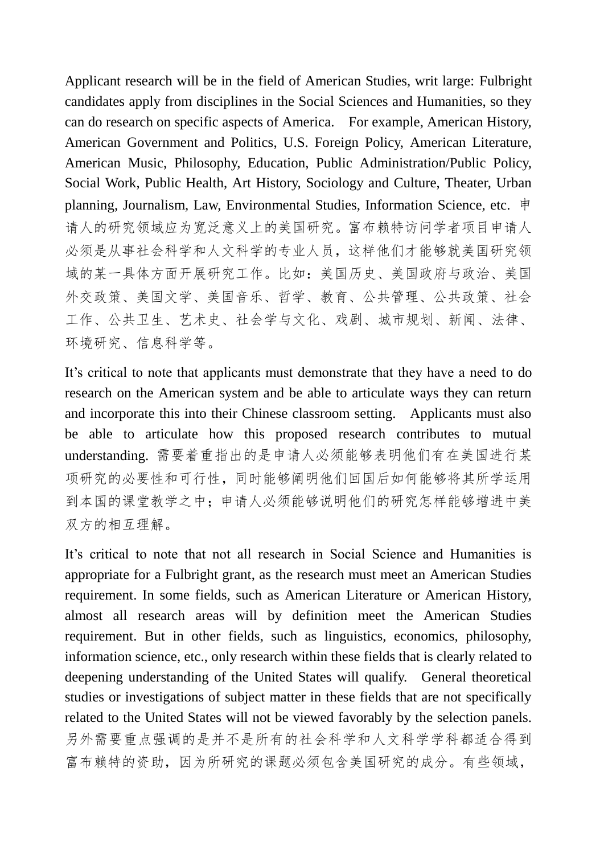Applicant research will be in the field of American Studies, writ large: Fulbright candidates apply from disciplines in the Social Sciences and Humanities, so they can do research on specific aspects of America. For example, American History, American Government and Politics, U.S. Foreign Policy, American Literature, American Music, Philosophy, Education, Public Administration/Public Policy, Social Work, Public Health, Art History, Sociology and Culture, Theater, Urban planning, Journalism, Law, Environmental Studies, Information Science, etc. 申 请人的研究领域应为宽泛意义上的美国研究。富布赖特访问学者项目申请人 必须是从事社会科学和人文科学的专业人员,这样他们才能够就美国研究领 域的某一具体方面开展研究工作。比如:美国历史、美国政府与政治、美国 外交政策、美国文学、美国音乐、哲学、教育、公共管理、公共政策、社会 工作、公共卫生、艺术史、社会学与文化、戏剧、城市规划、新闻、法律、 环境研究、信息科学等。

It's critical to note that applicants must demonstrate that they have a need to do research on the American system and be able to articulate ways they can return and incorporate this into their Chinese classroom setting. Applicants must also be able to articulate how this proposed research contributes to mutual understanding. 需要着重指出的是申请人必须能够表明他们有在美国进行某 项研究的必要性和可行性,同时能够阐明他们回国后如何能够将其所学运用 到本国的课堂教学之中;申请人必须能够说明他们的研究怎样能够增进中美 双方的相互理解。

It's critical to note that not all research in Social Science and Humanities is appropriate for a Fulbright grant, as the research must meet an American Studies requirement. In some fields, such as American Literature or American History, almost all research areas will by definition meet the American Studies requirement. But in other fields, such as linguistics, economics, philosophy, information science, etc., only research within these fields that is clearly related to deepening understanding of the United States will qualify. General theoretical studies or investigations of subject matter in these fields that are not specifically related to the United States will not be viewed favorably by the selection panels. 另外需要重点强调的是并不是所有的社会科学和人文科学学科都适合得到 富布赖特的资助,因为所研究的课题必须包含美国研究的成分。有些领域,